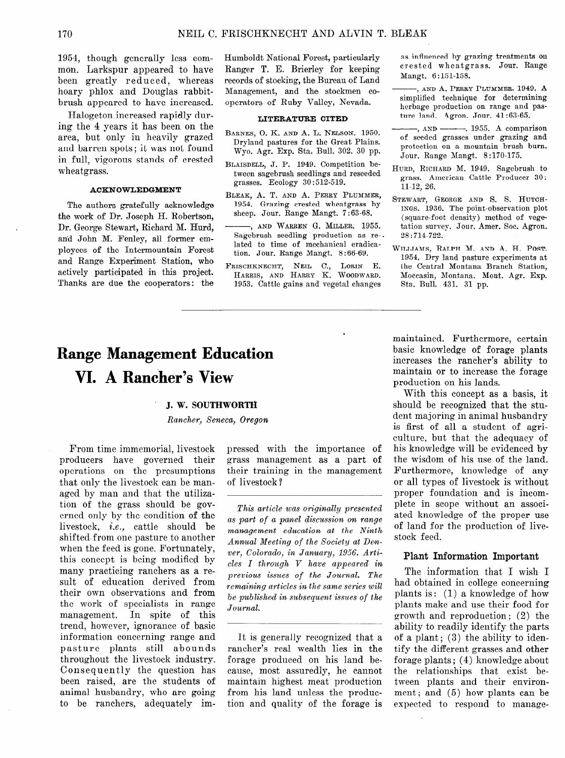# **Range Management Education VI.** A Rancher's View

#### **J. W. SOUTHWORTH**

*Rancher, Smeca, Oregon* 

From time immemorial, livestock producers have governed their operations on the presumptions that only the livestock can be managed by man and that the utilization of the grass should be governed only by the condition of the livestock, i.e., cattle should be shifted- from one pasture to another when the feed is gone. Fortunately, this concept is being modified by many practicing ranchers as a result of education derived from their own observations and from the work of specialists in range management. In spite of this trend, however, ignorance of basic information concerning range and pasture plants still abounds throughout the livestock industry. Consequently the question has been raised, are the students of animal husbandry, who are going to be ranchers, adequately impressed with the importance of grass management as a part of their training in the management of livestock?

This article was originally presented *as pa'rt of a panel discussion on range*   $m$ *anagement education at the Ninth* Annual Meeting of the Society at Denver, Colorado, in January, 1956. Arti*cles I through' V have appeared in previous issues of th'e Journal. The remaining articles in the same series will be published in subsequent issues of the Journal.* 

It is generally recognized that a rancher's real wealth lies in the forage produced on his land because, most assuredly, he cannot maintain highest meat production from his land unless the production and quality of the forage is maintained. Furthermore, certain basic knowledge of forage plants increases the rancher's ability to maintain or to increase the forage production on his lands.

With this concept as a basis, it should be recognized that the student majoring in animal husbandry is first of all a student of agriculture, but that the adequacy of his knowledge will be evidenced by the wisdom of his use of the land. Furthermore, knowledge of any or all types of livestock is without proper foundation and is incomplete in scope without an associated knowledge of the proper use of land for the production of livestock feed.

### Plant Information Important

The information that I wish I had obtained in college concerning plants is : (1) a knowledge of how plants make and use their food for growth and reproduction ; (2) the ability to readily identify the parts of a plant;  $(3)$  the ability to identify the different grasses and other forage plants; (4) knowledge about the relationships that exist between plants and their environment; and  $(5)$  how plants can be expected to respond to manage